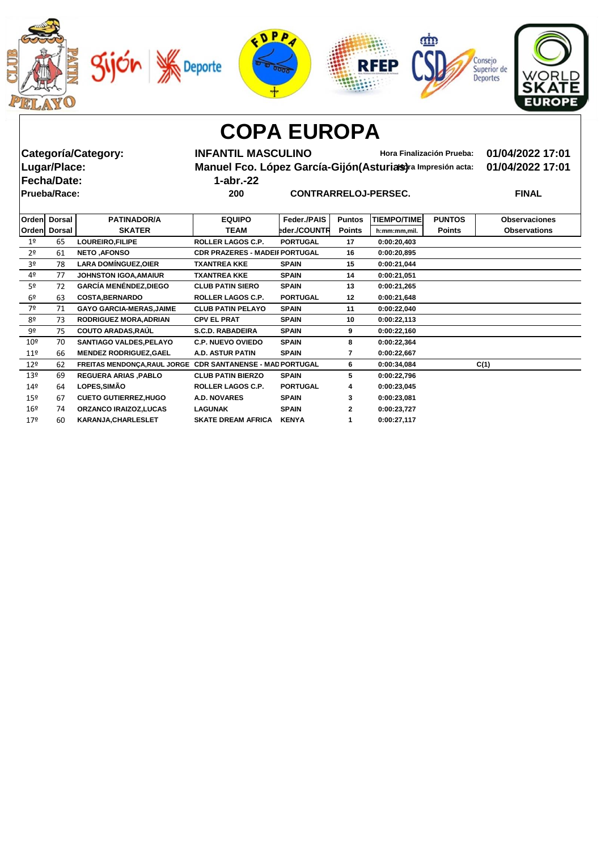









**Fecha/Date: 1-abr.-22**

**Categoría/Category: INFANTIL MASCULINO Hora Finalización Prueba: 01/04/2022 17:01 Manuel Fco. López García-Gijón(Asturias)** ra Impresión acta: 01/04/2022 17:01

**Prueba/Race: 200 CONTRARRELOJ-PERSEC. FINAL**

| Orden           | <b>Dorsal</b> | <b>PATINADOR/A</b>                                         | <b>EQUIPO</b>                         | Feder./PAIS     | <b>Puntos</b> | <b>TIEMPO/TIME</b> | <b>PUNTOS</b> | <b>Observaciones</b> |
|-----------------|---------------|------------------------------------------------------------|---------------------------------------|-----------------|---------------|--------------------|---------------|----------------------|
| Orden           | <b>Dorsal</b> | <b>SKATER</b>                                              | TEAM                                  | eder./COUNTR    | <b>Points</b> | h:mm:mm,mil.       | <b>Points</b> | <b>Observations</b>  |
| 1 <sup>°</sup>  | 65            | LOUREIRO, FILIPE                                           | ROLLER LAGOS C.P.                     | <b>PORTUGAL</b> | 17            | 0:00:20,403        |               |                      |
| 2 <sup>o</sup>  | 61            | <b>NETO, AFONSO</b>                                        | <b>CDR PRAZERES - MADEII PORTUGAL</b> |                 | 16            | 0:00:20,895        |               |                      |
| 3º              | 78            | <b>LARA DOMINGUEZ, OIER</b>                                | <b>TXANTREA KKE</b>                   | <b>SPAIN</b>    | 15            | 0:00:21,044        |               |                      |
| 4º              | 77            | <b>JOHNSTON IGOA, AMAIUR</b>                               | <b>TXANTREA KKE</b>                   | <b>SPAIN</b>    | 14            | 0:00:21,051        |               |                      |
| 5º              | 72            | <b>GARCÍA MENÉNDEZ, DIEGO</b>                              | <b>CLUB PATIN SIERO</b>               | <b>SPAIN</b>    | 13            | 0:00:21,265        |               |                      |
| 6 <sup>°</sup>  | 63            | <b>COSTA, BERNARDO</b>                                     | <b>ROLLER LAGOS C.P.</b>              | <b>PORTUGAL</b> | 12            | 0:00:21,648        |               |                      |
| 7º              | 71            | <b>GAYO GARCIA-MERAS, JAIME</b>                            | <b>CLUB PATIN PELAYO</b>              | <b>SPAIN</b>    | 11            | 0:00:22,040        |               |                      |
| 8º              | 73            | RODRIGUEZ MORA, ADRIAN                                     | <b>CPV EL PRAT</b>                    | <b>SPAIN</b>    | 10            | 0:00:22,113        |               |                      |
| 9º              | 75            | <b>COUTO ARADAS, RAUL</b>                                  | <b>S.C.D. RABADEIRA</b>               | <b>SPAIN</b>    | 9             | 0:00:22,160        |               |                      |
| 10 <sup>°</sup> | 70            | <b>SANTIAGO VALDES, PELAYO</b>                             | <b>C.P. NUEVO OVIEDO</b>              | <b>SPAIN</b>    | 8             | 0:00:22,364        |               |                      |
| 11 <sup>°</sup> | 66            | <b>MENDEZ RODRIGUEZ, GAEL</b>                              | <b>A.D. ASTUR PATIN</b>               | <b>SPAIN</b>    | 7             | 0:00:22,667        |               |                      |
| 12 <sup>°</sup> | 62            | FREITAS MENDONÇA, RAUL JORGE CDR SANTANENSE - MAD PORTUGAL |                                       |                 | 6             | 0:00:34,084        |               | C(1)                 |
| 13 <sup>°</sup> | 69            | <b>REGUERA ARIAS, PABLO</b>                                | <b>CLUB PATIN BIERZO</b>              | <b>SPAIN</b>    | 5             | 0:00:22,796        |               |                      |
| 14 <sup>°</sup> | 64            | LOPES, SIMÃO                                               | ROLLER LAGOS C.P.                     | <b>PORTUGAL</b> | 4             | 0:00:23,045        |               |                      |
| $15^{\circ}$    | 67            | <b>CUETO GUTIERREZ, HUGO</b>                               | <b>A.D. NOVARES</b>                   | <b>SPAIN</b>    | 3             | 0:00:23,081        |               |                      |
| $16^{\circ}$    | 74            | <b>ORZANCO IRAIZOZ,LUCAS</b>                               | <b>LAGUNAK</b>                        | <b>SPAIN</b>    | $\mathbf{2}$  | 0:00:23,727        |               |                      |
| 179             | 60            | KARANJA, CHARLESLET                                        | <b>SKATE DREAM AFRICA</b>             | <b>KENYA</b>    |               | 0:00:27,117        |               |                      |
|                 |               |                                                            |                                       |                 |               |                    |               |                      |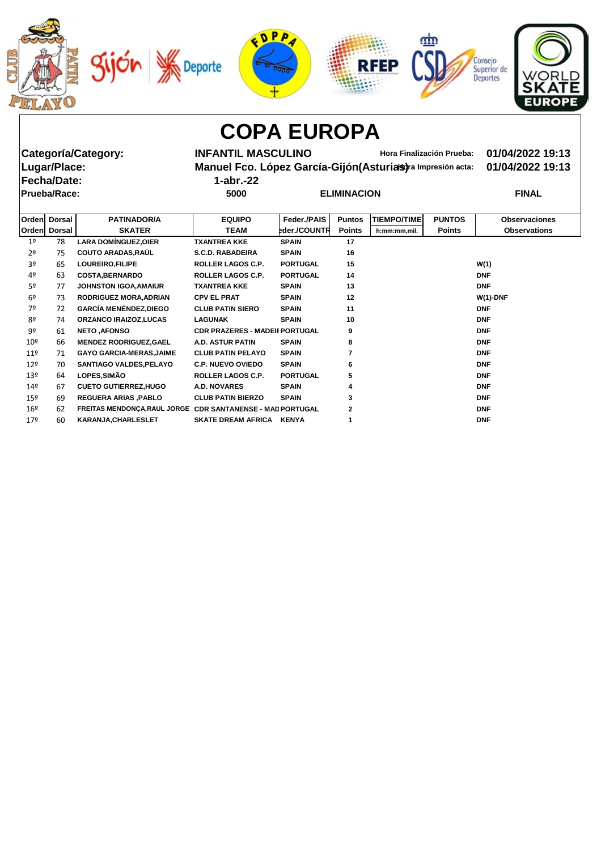









**Fecha/Date: 1-abr.-22**

**Categoría/Category: INFANTIL MASCULINO Hora Finalización Prueba: 01/04/2022 19:13 Manuel Fco. López García-Gijón(Asturias)** ra Impresión acta: 01/04/2022 19:13

| .            | _________ |                    |              |
|--------------|-----------|--------------------|--------------|
| Prueba/Race: | 5000      | <b>ELIMINACION</b> | <b>FINAL</b> |

| 1-abr.-. |  |  |
|----------|--|--|
|          |  |  |

|                 | Orden Dorsal | <b>PATINADOR/A</b>                                         | <b>EQUIPO</b>                         | Feder./PAIS     | <b>Puntos</b> | <b>TIEMPO/TIME</b> | <b>PUNTOS</b> | <b>Observaciones</b> |
|-----------------|--------------|------------------------------------------------------------|---------------------------------------|-----------------|---------------|--------------------|---------------|----------------------|
|                 | Orden Dorsal | <b>SKATER</b>                                              | <b>TEAM</b>                           | eder./COUNTR    | <b>Points</b> | h:mm:mm,mil.       | <b>Points</b> | <b>Observations</b>  |
|                 |              |                                                            |                                       |                 |               |                    |               |                      |
| 1 <sup>°</sup>  | 78           | <b>LARA DOMINGUEZ, OIER</b>                                | <b>TXANTREA KKE</b>                   | <b>SPAIN</b>    | 17            |                    |               |                      |
| 2 <sup>o</sup>  | 75           | <b>COUTO ARADAS, RAUL</b>                                  | <b>S.C.D. RABADEIRA</b>               | <b>SPAIN</b>    | 16            |                    |               |                      |
| 3 <sup>o</sup>  | 65           | LOUREIRO, FILIPE                                           | ROLLER LAGOS C.P.                     | <b>PORTUGAL</b> | 15            |                    |               | W(1)                 |
| 4º              | 63           | <b>COSTA, BERNARDO</b>                                     | ROLLER LAGOS C.P.                     | <b>PORTUGAL</b> | 14            |                    |               | <b>DNF</b>           |
| 5º              | 77           | <b>JOHNSTON IGOA, AMAIUR</b>                               | <b>TXANTREA KKE</b>                   | <b>SPAIN</b>    | 13            |                    |               | <b>DNF</b>           |
| 6 <sup>°</sup>  | 73           | <b>RODRIGUEZ MORA, ADRIAN</b>                              | <b>CPV EL PRAT</b>                    | <b>SPAIN</b>    | 12            |                    |               | $W(1)$ -DNF          |
| 7º              | 72           | <b>GARCÍA MENÉNDEZ, DIEGO</b>                              | <b>CLUB PATIN SIERO</b>               | <b>SPAIN</b>    | 11            |                    |               | <b>DNF</b>           |
| 8º              | 74           | <b>ORZANCO IRAIZOZ,LUCAS</b>                               | <b>LAGUNAK</b>                        | <b>SPAIN</b>    | 10            |                    |               | <b>DNF</b>           |
| 9º              | 61           | <b>NETO, AFONSO</b>                                        | <b>CDR PRAZERES - MADEII PORTUGAL</b> |                 | 9             |                    |               | <b>DNF</b>           |
| 10 <sup>°</sup> | 66           | <b>MENDEZ RODRIGUEZ, GAEL</b>                              | <b>A.D. ASTUR PATIN</b>               | <b>SPAIN</b>    | 8             |                    |               | <b>DNF</b>           |
| 11 <sup>°</sup> | 71           | <b>GAYO GARCIA-MERAS, JAIME</b>                            | <b>CLUB PATIN PELAYO</b>              | <b>SPAIN</b>    | 7             |                    |               | <b>DNF</b>           |
| 12 <sup>°</sup> | 70           | <b>SANTIAGO VALDES, PELAYO</b>                             | <b>C.P. NUEVO OVIEDO</b>              | <b>SPAIN</b>    | 6             |                    |               | <b>DNF</b>           |
| 13 <sup>°</sup> | 64           | LOPES, SIMÃO                                               | <b>ROLLER LAGOS C.P.</b>              | <b>PORTUGAL</b> | 5             |                    |               | <b>DNF</b>           |
| $14^{\circ}$    | 67           | <b>CUETO GUTIERREZ, HUGO</b>                               | <b>A.D. NOVARES</b>                   | <b>SPAIN</b>    | 4             |                    |               | <b>DNF</b>           |
| $15^{\circ}$    | 69           | <b>REGUERA ARIAS, PABLO</b>                                | <b>CLUB PATIN BIERZO</b>              | <b>SPAIN</b>    | 3             |                    |               | <b>DNF</b>           |
| $16^{\circ}$    | 62           | FREITAS MENDONÇA, RAUL JORGE CDR SANTANENSE - MAD PORTUGAL |                                       |                 | 2             |                    |               | <b>DNF</b>           |
| 17 <sup>°</sup> | 60           | KARANJA, CHARLESLET                                        | SKATE DREAM AFRICA KENYA              |                 |               |                    |               | <b>DNF</b>           |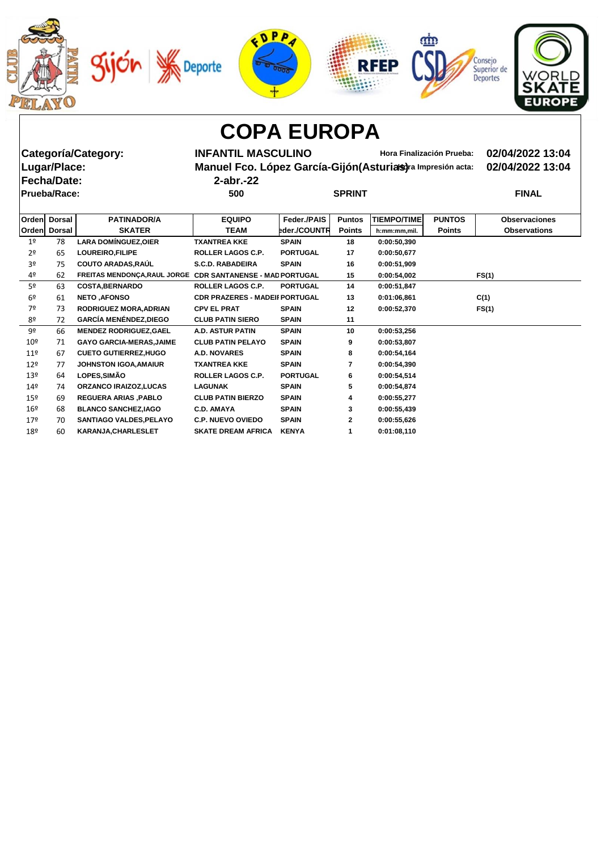









**Fecha/Date: 2-abr.-22 Prueba/Race: 500 SPRINT FINAL**

**Categoría/Category: INFANTIL MASCULINO Hora Finalización Prueba: 02/04/2022 13:04 Manuel Fco. López García-Gijón(Asturias)** ra Impresión acta: 02/04/2022 13:04

| SPRINT |  |  |
|--------|--|--|

| Orden           | <b>Dorsal</b> | <b>PATINADOR/A</b>                                         | <b>EQUIPO</b>                         | Feder./PAIS     | <b>Puntos</b>  | <b>TIEMPO/TIME</b> | <b>PUNTOS</b> | <b>Observaciones</b> |
|-----------------|---------------|------------------------------------------------------------|---------------------------------------|-----------------|----------------|--------------------|---------------|----------------------|
| Orden           | <b>Dorsal</b> | <b>SKATER</b>                                              | <b>TEAM</b>                           | eder./COUNTR    | <b>Points</b>  | h:mm:mm,mil.       | <b>Points</b> | <b>Observations</b>  |
| 1 <sup>o</sup>  | 78            | <b>LARA DOMÍNGUEZ, OIER</b>                                | <b>TXANTREA KKE</b>                   | <b>SPAIN</b>    | 18             | 0:00:50,390        |               |                      |
| 2 <sup>o</sup>  | 65            | LOUREIRO, FILIPE                                           | ROLLER LAGOS C.P.                     | <b>PORTUGAL</b> | 17             | 0:00:50,677        |               |                      |
| 3º              | 75            | <b>COUTO ARADAS, RAÚL</b>                                  | <b>S.C.D. RABADEIRA</b>               | <b>SPAIN</b>    | 16             | 0:00:51,909        |               |                      |
| 4º              | 62            | FREITAS MENDONÇA, RAUL JORGE CDR SANTANENSE - MAD PORTUGAL |                                       |                 | 15             | 0:00:54,002        |               | FS(1)                |
| 5 <sup>o</sup>  | 63            | <b>COSTA, BERNARDO</b>                                     | ROLLER LAGOS C.P.                     | <b>PORTUGAL</b> | 14             | 0:00:51,847        |               |                      |
| 6 <sup>°</sup>  | 61            | <b>NETO, AFONSO</b>                                        | <b>CDR PRAZERES - MADEII PORTUGAL</b> |                 | 13             | 0:01:06,861        |               | C(1)                 |
| 7º              | 73            | <b>RODRIGUEZ MORA, ADRIAN</b>                              | <b>CPV EL PRAT</b>                    | <b>SPAIN</b>    | 12             | 0:00:52,370        |               | FS(1)                |
| 8º              | 72            | <b>GARCÍA MENÉNDEZ, DIEGO</b>                              | <b>CLUB PATIN SIERO</b>               | <b>SPAIN</b>    | 11             |                    |               |                      |
| 9º              | 66            | <b>MENDEZ RODRIGUEZ, GAEL</b>                              | <b>A.D. ASTUR PATIN</b>               | <b>SPAIN</b>    | 10             | 0:00:53,256        |               |                      |
| 10 <sup>°</sup> | 71            | <b>GAYO GARCIA-MERAS, JAIME</b>                            | <b>CLUB PATIN PELAYO</b>              | <b>SPAIN</b>    | 9              | 0:00:53,807        |               |                      |
| $11^{\circ}$    | 67            | <b>CUETO GUTIERREZ, HUGO</b>                               | <b>A.D. NOVARES</b>                   | <b>SPAIN</b>    | 8              | 0:00:54,164        |               |                      |
| $12^{\circ}$    | 77            | <b>JOHNSTON IGOA, AMAIUR</b>                               | <b>TXANTREA KKE</b>                   | <b>SPAIN</b>    | $\overline{7}$ | 0:00:54,390        |               |                      |
| 13 <sup>°</sup> | 64            | LOPES, SIMÃO                                               | <b>ROLLER LAGOS C.P.</b>              | <b>PORTUGAL</b> | 6              | 0:00:54,514        |               |                      |
| 14 <sup>°</sup> | 74            | <b>ORZANCO IRAIZOZ,LUCAS</b>                               | <b>LAGUNAK</b>                        | <b>SPAIN</b>    | 5              | 0:00:54,874        |               |                      |
| 15 <sup>°</sup> | 69            | <b>REGUERA ARIAS, PABLO</b>                                | <b>CLUB PATIN BIERZO</b>              | <b>SPAIN</b>    | 4              | 0:00:55,277        |               |                      |
| 16 <sup>°</sup> | 68            | <b>BLANCO SANCHEZ, IAGO</b>                                | <b>C.D. AMAYA</b>                     | <b>SPAIN</b>    | 3              | 0:00:55,439        |               |                      |
| 17 <sup>°</sup> | 70            | SANTIAGO VALDES, PELAYO                                    | <b>C.P. NUEVO OVIEDO</b>              | <b>SPAIN</b>    | $\mathbf{2}$   | 0:00:55,626        |               |                      |
| 18º             | 60            | <b>KARANJA, CHARLESLET</b>                                 | <b>SKATE DREAM AFRICA</b>             | <b>KENYA</b>    |                | 0:01:08,110        |               |                      |
|                 |               |                                                            |                                       |                 |                |                    |               |                      |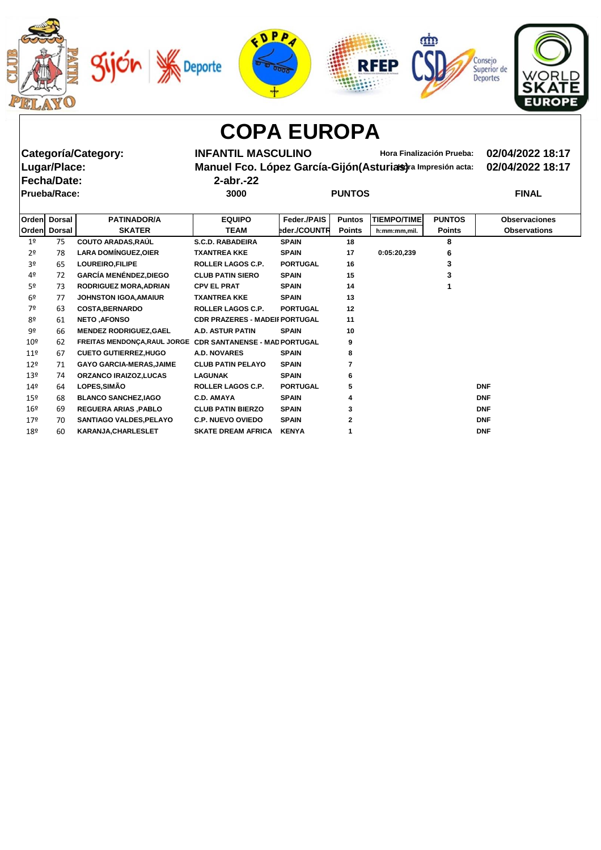









**Fecha/Date: 2-abr.-22**

**Categoría/Category: INFANTIL MASCULINO Hora Finalización Prueba: 02/04/2022 18:17 Manuel Fco. López García-Gijón(Asturias)** ra Impresión acta: 02/04/2022 18:17

|                 | Prueba/Race:  |                                                            | 3000                                  |                 | <b>PUNTOS</b> |                    |               | <b>FINAL</b>         |
|-----------------|---------------|------------------------------------------------------------|---------------------------------------|-----------------|---------------|--------------------|---------------|----------------------|
| Orden           | <b>Dorsal</b> | <b>PATINADOR/A</b>                                         | <b>EQUIPO</b>                         | Feder./PAIS     | <b>Puntos</b> | <b>TIEMPO/TIME</b> | <b>PUNTOS</b> | <b>Observaciones</b> |
| Orden           | <b>Dorsal</b> | <b>SKATER</b>                                              | <b>TEAM</b>                           | eder./COUNTR    | <b>Points</b> | h:mm:mm,mil.       | <b>Points</b> | <b>Observations</b>  |
| 1 <sup>°</sup>  | 75            | <b>COUTO ARADAS, RAÚL</b>                                  | <b>S.C.D. RABADEIRA</b>               | <b>SPAIN</b>    | 18            |                    | 8             |                      |
| $2^{\circ}$     | 78            | <b>LARA DOMÍNGUEZ, OIER</b>                                | <b>TXANTREA KKE</b>                   | <b>SPAIN</b>    | 17            | 0:05:20,239        | 6             |                      |
| 3 <sup>o</sup>  | 65            | LOUREIRO, FILIPE                                           | <b>ROLLER LAGOS C.P.</b>              | <b>PORTUGAL</b> | 16            |                    | 3             |                      |
| 4º              | 72            | <b>GARCÍA MENÉNDEZ, DIEGO</b>                              | <b>CLUB PATIN SIERO</b>               | <b>SPAIN</b>    | 15            |                    | 3             |                      |
| 52              | 73            | <b>RODRIGUEZ MORA, ADRIAN</b>                              | <b>CPV EL PRAT</b>                    | <b>SPAIN</b>    | 14            |                    |               |                      |
| 6 <sup>°</sup>  | 77            | <b>JOHNSTON IGOA, AMAIUR</b>                               | <b>TXANTREA KKE</b>                   | <b>SPAIN</b>    | 13            |                    |               |                      |
| 7º              | 63            | <b>COSTA, BERNARDO</b>                                     | <b>ROLLER LAGOS C.P.</b>              | <b>PORTUGAL</b> | 12            |                    |               |                      |
| 8º              | 61            | <b>NETO .AFONSO</b>                                        | <b>CDR PRAZERES - MADEII PORTUGAL</b> |                 | 11            |                    |               |                      |
| 92              | 66            | <b>MENDEZ RODRIGUEZ, GAEL</b>                              | A.D. ASTUR PATIN                      | <b>SPAIN</b>    | 10            |                    |               |                      |
| 10 <sup>°</sup> | 62            | FREITAS MENDONÇA, RAUL JORGE CDR SANTANENSE - MAD PORTUGAL |                                       |                 | 9             |                    |               |                      |
| 11 <sup>°</sup> | 67            | <b>CUETO GUTIERREZ, HUGO</b>                               | <b>A.D. NOVARES</b>                   | <b>SPAIN</b>    | 8             |                    |               |                      |
| $12^{\circ}$    | 71            | <b>GAYO GARCIA-MERAS, JAIME</b>                            | <b>CLUB PATIN PELAYO</b>              | <b>SPAIN</b>    |               |                    |               |                      |
| 13 <sup>°</sup> | 74            | <b>ORZANCO IRAIZOZ.LUCAS</b>                               | <b>LAGUNAK</b>                        | <b>SPAIN</b>    | 6             |                    |               |                      |
| 14 <sup>°</sup> | 64            | LOPES, SIMÃO                                               | <b>ROLLER LAGOS C.P.</b>              | <b>PORTUGAL</b> | 5             |                    |               | <b>DNF</b>           |
| 15 <sup>°</sup> | 68            | <b>BLANCO SANCHEZ, IAGO</b>                                | <b>C.D. AMAYA</b>                     | <b>SPAIN</b>    | 4             |                    |               | <b>DNF</b>           |
| 16º             | 69            | <b>REGUERA ARIAS, PABLO</b>                                | <b>CLUB PATIN BIERZO</b>              | <b>SPAIN</b>    | 3             |                    |               | <b>DNF</b>           |
| 17 <sup>°</sup> | 70            | <b>SANTIAGO VALDES, PELAYO</b>                             | <b>C.P. NUEVO OVIEDO</b>              | <b>SPAIN</b>    | 2             |                    |               | <b>DNF</b>           |
| 18º             | 60            | <b>KARANJA, CHARLESLET</b>                                 | <b>SKATE DREAM AFRICA</b>             | <b>KENYA</b>    |               |                    |               | <b>DNF</b>           |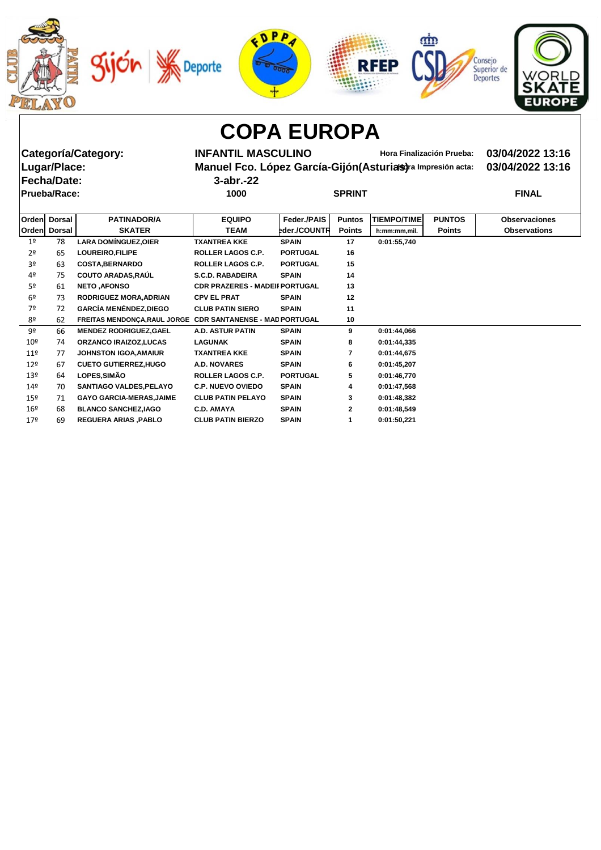







**Categoría/Category: INFANTIL MASCULINO Hora Finalización Prueba: 03/04/2022 13:16 Manuel Fco. López García-Gijón(Asturias)** ra Impresión acta: 03/04/2022 13:16

**Fecha/Date: 3-abr.-22**

| .            | __ ____ _ _ _ _ |               |              |
|--------------|-----------------|---------------|--------------|
| Prueba/Race: | 1000            | <b>SPRINT</b> | <b>FINAL</b> |

| Orden           | <b>Dorsal</b> | <b>PATINADOR/A</b>                                         | <b>EQUIPO</b>                         | Feder./PAIS     | <b>Puntos</b> | <b>TIEMPO/TIME</b> | <b>PUNTOS</b> | <b>Observaciones</b> |
|-----------------|---------------|------------------------------------------------------------|---------------------------------------|-----------------|---------------|--------------------|---------------|----------------------|
|                 |               |                                                            |                                       |                 |               |                    |               |                      |
|                 | Orden Dorsal  | <b>SKATER</b>                                              | <b>TEAM</b>                           | eder./COUNTR    | <b>Points</b> | h:mm:mm,mil.       | <b>Points</b> | <b>Observations</b>  |
| 1 <sup>°</sup>  | 78            | <b>LARA DOMÍNGUEZ, OIER</b>                                | <b>TXANTREA KKE</b>                   | <b>SPAIN</b>    | 17            | 0:01:55,740        |               |                      |
| 2 <sup>o</sup>  | 65            | LOUREIRO, FILIPE                                           | ROLLER LAGOS C.P.                     | <b>PORTUGAL</b> | 16            |                    |               |                      |
| 3º              | 63            | <b>COSTA, BERNARDO</b>                                     | ROLLER LAGOS C.P.                     | <b>PORTUGAL</b> | 15            |                    |               |                      |
| 4º              | 75            | <b>COUTO ARADAS, RAÚL</b>                                  | <b>S.C.D. RABADEIRA</b>               | <b>SPAIN</b>    | 14            |                    |               |                      |
| 5 <sup>o</sup>  | 61            | <b>NETO, AFONSO</b>                                        | <b>CDR PRAZERES - MADEII PORTUGAL</b> |                 | 13            |                    |               |                      |
| 6º              | 73            | <b>RODRIGUEZ MORA, ADRIAN</b>                              | <b>CPV EL PRAT</b>                    | <b>SPAIN</b>    | 12            |                    |               |                      |
| 7º              | 72            | <b>GARCÍA MENÉNDEZ, DIEGO</b>                              | <b>CLUB PATIN SIERO</b>               | <b>SPAIN</b>    | 11            |                    |               |                      |
| 8º              | 62            | FREITAS MENDONÇA, RAUL JORGE CDR SANTANENSE - MAD PORTUGAL |                                       |                 | 10            |                    |               |                      |
| 9º              | 66            | <b>MENDEZ RODRIGUEZ, GAEL</b>                              | <b>A.D. ASTUR PATIN</b>               | <b>SPAIN</b>    | 9             | 0:01:44,066        |               |                      |
| 10 <sup>°</sup> | 74            | <b>ORZANCO IRAIZOZ,LUCAS</b>                               | <b>LAGUNAK</b>                        | <b>SPAIN</b>    | 8             | 0:01:44,335        |               |                      |
| $11^{\circ}$    | 77            | <b>JOHNSTON IGOA, AMAIUR</b>                               | <b>TXANTREA KKE</b>                   | <b>SPAIN</b>    | 7             | 0:01:44,675        |               |                      |
| $12^{\circ}$    | 67            | <b>CUETO GUTIERREZ, HUGO</b>                               | <b>A.D. NOVARES</b>                   | <b>SPAIN</b>    | 6             | 0:01:45,207        |               |                      |
| $13^{\circ}$    | 64            | <b>LOPES, SIMÃO</b>                                        | ROLLER LAGOS C.P.                     | <b>PORTUGAL</b> | 5             | 0:01:46,770        |               |                      |
| 14 <sup>°</sup> | 70            | <b>SANTIAGO VALDES, PELAYO</b>                             | <b>C.P. NUEVO OVIEDO</b>              | <b>SPAIN</b>    | 4             | 0:01:47,568        |               |                      |
| $15^{\circ}$    | 71            | <b>GAYO GARCIA-MERAS, JAIME</b>                            | <b>CLUB PATIN PELAYO</b>              | <b>SPAIN</b>    | 3             | 0:01:48,382        |               |                      |
| $16^{\circ}$    | 68            | <b>BLANCO SANCHEZ, IAGO</b>                                | <b>C.D. AMAYA</b>                     | <b>SPAIN</b>    | $\mathbf{2}$  | 0:01:48,549        |               |                      |
| 17 <sup>°</sup> | 69            | <b>REGUERA ARIAS, PABLO</b>                                | <b>CLUB PATIN BIERZO</b>              | <b>SPAIN</b>    |               | 0:01:50,221        |               |                      |
|                 |               |                                                            |                                       |                 |               |                    |               |                      |